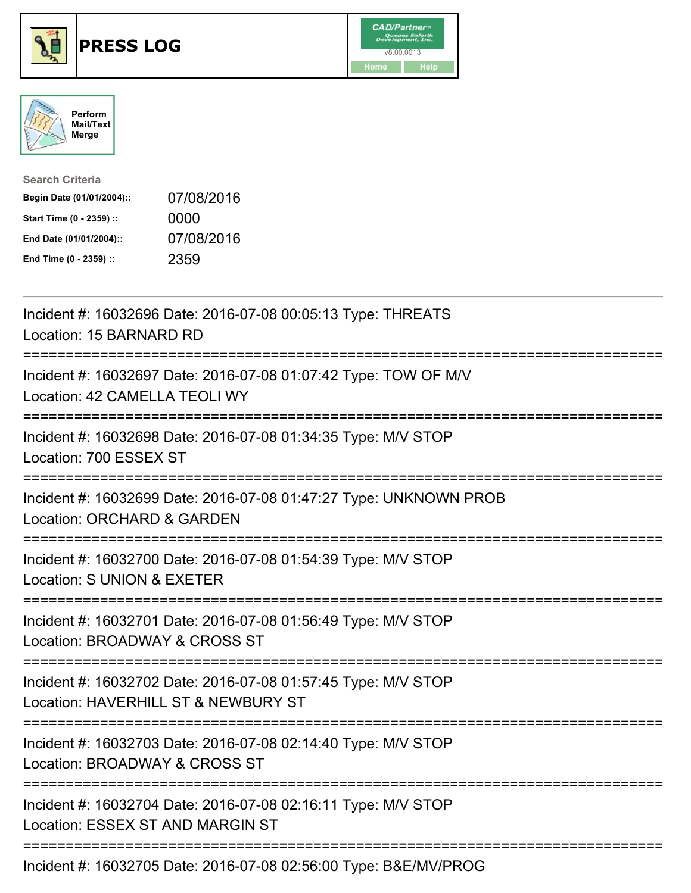





| <b>Search Criteria</b>    |            |
|---------------------------|------------|
| Begin Date (01/01/2004):: | 07/08/2016 |
| Start Time (0 - 2359) ::  | 0000       |
| End Date (01/01/2004)::   | 07/08/2016 |
| End Time (0 - 2359) ::    | 2359       |

| Incident #: 16032696 Date: 2016-07-08 00:05:13 Type: THREATS<br>Location: 15 BARNARD RD                                               |
|---------------------------------------------------------------------------------------------------------------------------------------|
| Incident #: 16032697 Date: 2016-07-08 01:07:42 Type: TOW OF M/V<br>Location: 42 CAMELLA TEOLI WY                                      |
| Incident #: 16032698 Date: 2016-07-08 01:34:35 Type: M/V STOP<br>Location: 700 ESSEX ST<br>==================                         |
| Incident #: 16032699 Date: 2016-07-08 01:47:27 Type: UNKNOWN PROB<br>Location: ORCHARD & GARDEN<br>=============                      |
| Incident #: 16032700 Date: 2016-07-08 01:54:39 Type: M/V STOP<br>Location: S UNION & EXETER<br>:===================================== |
| Incident #: 16032701 Date: 2016-07-08 01:56:49 Type: M/V STOP<br>Location: BROADWAY & CROSS ST                                        |
| Incident #: 16032702 Date: 2016-07-08 01:57:45 Type: M/V STOP<br>Location: HAVERHILL ST & NEWBURY ST<br>--------------------------    |
| Incident #: 16032703 Date: 2016-07-08 02:14:40 Type: M/V STOP<br>Location: BROADWAY & CROSS ST                                        |
| Incident #: 16032704 Date: 2016-07-08 02:16:11 Type: M/V STOP<br>Location: ESSEX ST AND MARGIN ST                                     |
| --------------------------<br>Incident #: 16032705 Date: 2016-07-08 02:56:00 Type: B&E/MV/PROG                                        |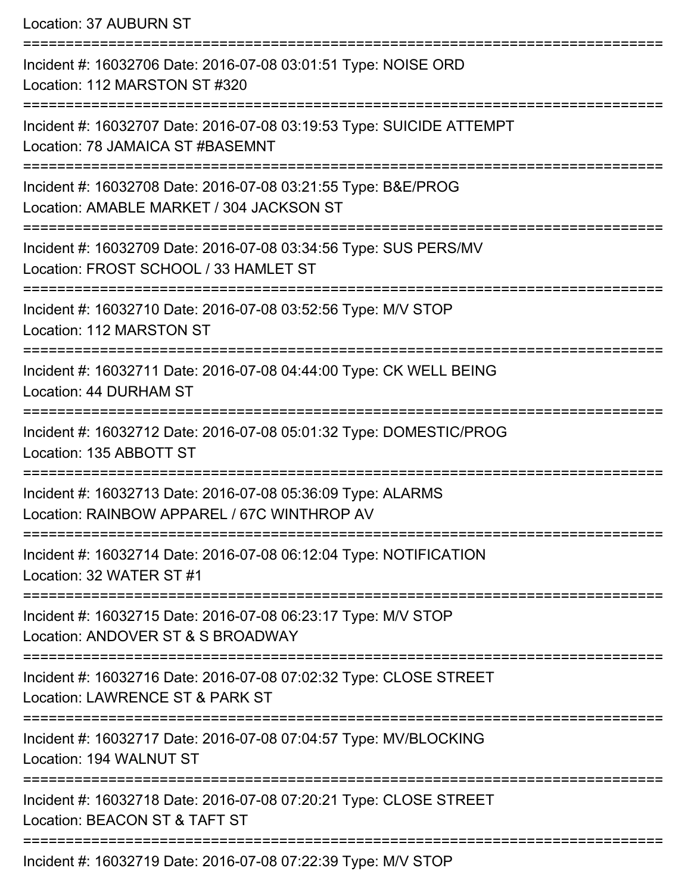Location: 37 AUBURN ST

=========================================================================== Incident #: 16032706 Date: 2016-07-08 03:01:51 Type: NOISE ORD Location: 112 MARSTON ST #320 =========================================================================== Incident #: 16032707 Date: 2016-07-08 03:19:53 Type: SUICIDE ATTEMPT Location: 78 JAMAICA ST #BASEMNT =========================================================================== Incident #: 16032708 Date: 2016-07-08 03:21:55 Type: B&E/PROG Location: AMABLE MARKET / 304 JACKSON ST =========================================================================== Incident #: 16032709 Date: 2016-07-08 03:34:56 Type: SUS PERS/MV Location: FROST SCHOOL / 33 HAMLET ST =========================================================================== Incident #: 16032710 Date: 2016-07-08 03:52:56 Type: M/V STOP Location: 112 MARSTON ST =========================================================================== Incident #: 16032711 Date: 2016-07-08 04:44:00 Type: CK WELL BEING Location: 44 DURHAM ST =========================================================================== Incident #: 16032712 Date: 2016-07-08 05:01:32 Type: DOMESTIC/PROG Location: 135 ABBOTT ST =========================================================================== Incident #: 16032713 Date: 2016-07-08 05:36:09 Type: ALARMS Location: RAINBOW APPAREL / 67C WINTHROP AV =========================================================================== Incident #: 16032714 Date: 2016-07-08 06:12:04 Type: NOTIFICATION Location: 32 WATER ST #1 =========================================================================== Incident #: 16032715 Date: 2016-07-08 06:23:17 Type: M/V STOP Location: ANDOVER ST & S BROADWAY =========================================================================== Incident #: 16032716 Date: 2016-07-08 07:02:32 Type: CLOSE STREET Location: LAWRENCE ST & PARK ST =========================================================================== Incident #: 16032717 Date: 2016-07-08 07:04:57 Type: MV/BLOCKING Location: 194 WALNUT ST =========================================================================== Incident #: 16032718 Date: 2016-07-08 07:20:21 Type: CLOSE STREET Location: BEACON ST & TAFT ST =========================================================================== Incident #: 16032719 Date: 2016-07-08 07:22:39 Type: M/V STOP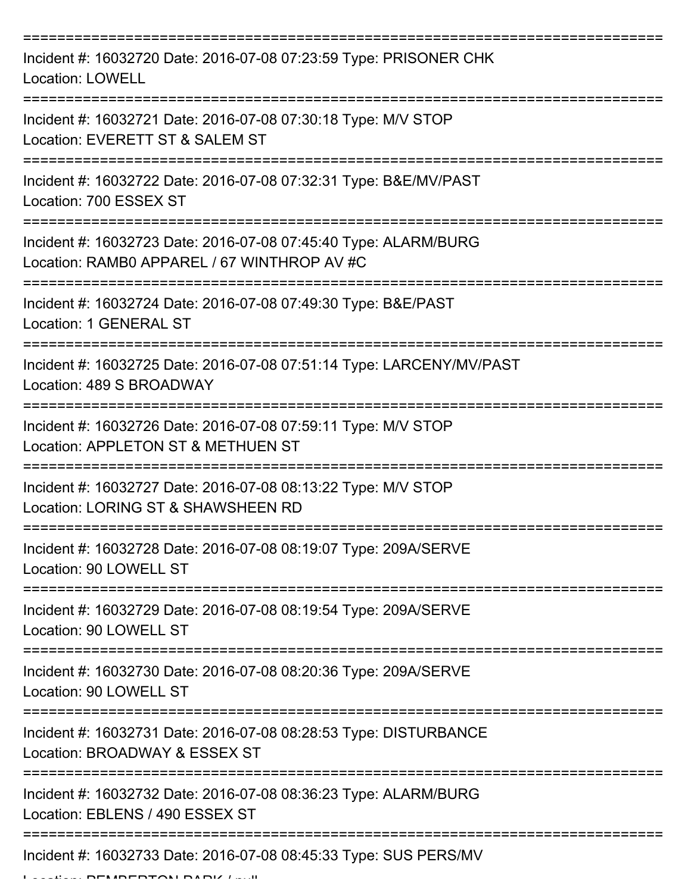| Incident #: 16032720 Date: 2016-07-08 07:23:59 Type: PRISONER CHK<br><b>Location: LOWELL</b>                   |
|----------------------------------------------------------------------------------------------------------------|
| Incident #: 16032721 Date: 2016-07-08 07:30:18 Type: M/V STOP<br>Location: EVERETT ST & SALEM ST               |
| Incident #: 16032722 Date: 2016-07-08 07:32:31 Type: B&E/MV/PAST<br>Location: 700 ESSEX ST                     |
| Incident #: 16032723 Date: 2016-07-08 07:45:40 Type: ALARM/BURG<br>Location: RAMB0 APPAREL / 67 WINTHROP AV #C |
| Incident #: 16032724 Date: 2016-07-08 07:49:30 Type: B&E/PAST<br>Location: 1 GENERAL ST                        |
| Incident #: 16032725 Date: 2016-07-08 07:51:14 Type: LARCENY/MV/PAST<br>Location: 489 S BROADWAY               |
| Incident #: 16032726 Date: 2016-07-08 07:59:11 Type: M/V STOP<br>Location: APPLETON ST & METHUEN ST            |
| Incident #: 16032727 Date: 2016-07-08 08:13:22 Type: M/V STOP<br>Location: LORING ST & SHAWSHEEN RD            |
| Incident #: 16032728 Date: 2016-07-08 08:19:07 Type: 209A/SERVE<br>Location: 90 LOWELL ST                      |
| Incident #: 16032729 Date: 2016-07-08 08:19:54 Type: 209A/SERVE<br>Location: 90 LOWELL ST                      |
| Incident #: 16032730 Date: 2016-07-08 08:20:36 Type: 209A/SERVE<br>Location: 90 LOWELL ST                      |
| Incident #: 16032731 Date: 2016-07-08 08:28:53 Type: DISTURBANCE<br>Location: BROADWAY & ESSEX ST              |
| Incident #: 16032732 Date: 2016-07-08 08:36:23 Type: ALARM/BURG<br>Location: EBLENS / 490 ESSEX ST             |
| Incident #: 16032733 Date: 2016-07-08 08:45:33 Type: SUS PERS/MV                                               |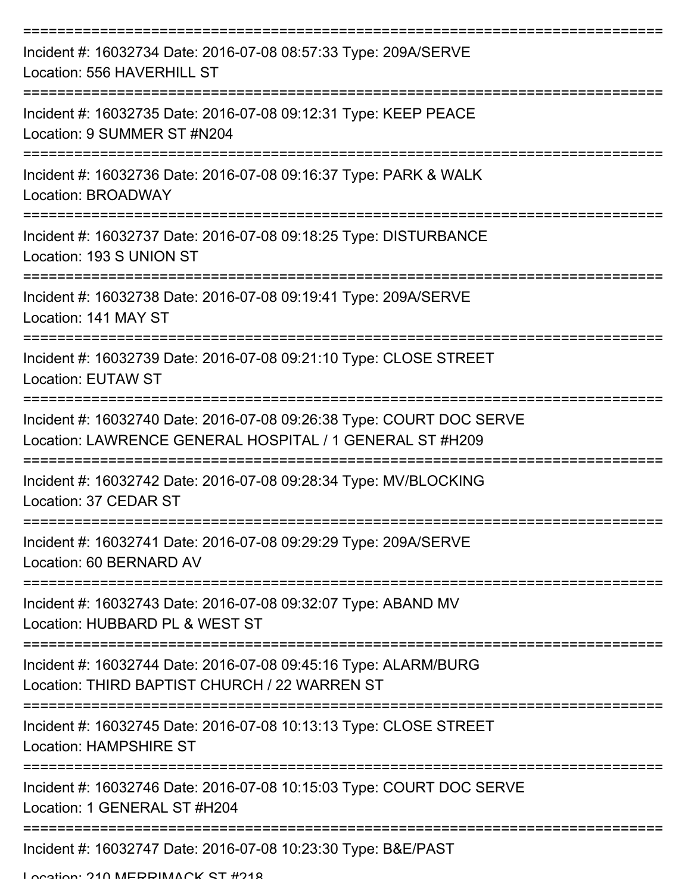| Incident #: 16032734 Date: 2016-07-08 08:57:33 Type: 209A/SERVE<br>Location: 556 HAVERHILL ST                                    |
|----------------------------------------------------------------------------------------------------------------------------------|
| Incident #: 16032735 Date: 2016-07-08 09:12:31 Type: KEEP PEACE<br>Location: 9 SUMMER ST #N204<br>:===========                   |
| Incident #: 16032736 Date: 2016-07-08 09:16:37 Type: PARK & WALK<br>Location: BROADWAY                                           |
| Incident #: 16032737 Date: 2016-07-08 09:18:25 Type: DISTURBANCE<br>Location: 193 S UNION ST                                     |
| Incident #: 16032738 Date: 2016-07-08 09:19:41 Type: 209A/SERVE<br>Location: 141 MAY ST                                          |
| Incident #: 16032739 Date: 2016-07-08 09:21:10 Type: CLOSE STREET<br><b>Location: EUTAW ST</b>                                   |
| Incident #: 16032740 Date: 2016-07-08 09:26:38 Type: COURT DOC SERVE<br>Location: LAWRENCE GENERAL HOSPITAL / 1 GENERAL ST #H209 |
| Incident #: 16032742 Date: 2016-07-08 09:28:34 Type: MV/BLOCKING<br>Location: 37 CEDAR ST                                        |
| Incident #: 16032741 Date: 2016-07-08 09:29:29 Type: 209A/SERVE<br>Location: 60 BERNARD AV                                       |
| Incident #: 16032743 Date: 2016-07-08 09:32:07 Type: ABAND MV<br>Location: HUBBARD PL & WEST ST                                  |
| Incident #: 16032744 Date: 2016-07-08 09:45:16 Type: ALARM/BURG<br>Location: THIRD BAPTIST CHURCH / 22 WARREN ST                 |
| Incident #: 16032745 Date: 2016-07-08 10:13:13 Type: CLOSE STREET<br>Location: HAMPSHIRE ST                                      |
| Incident #: 16032746 Date: 2016-07-08 10:15:03 Type: COURT DOC SERVE<br>Location: 1 GENERAL ST #H204                             |
| Incident #: 16032747 Date: 2016-07-08 10:23:30 Type: B&E/PAST                                                                    |

Location: 210 MEDDIMACK ST #218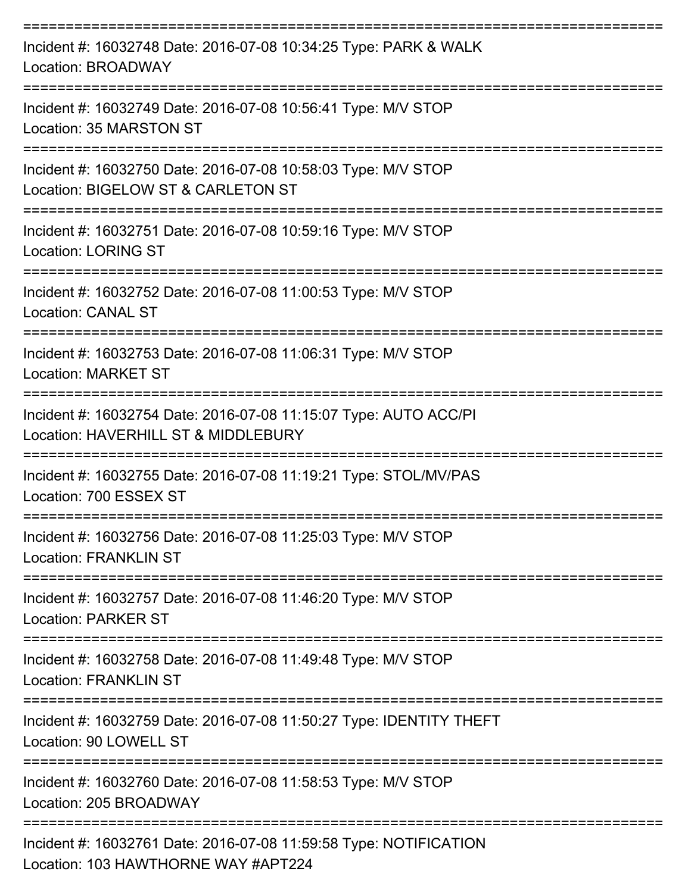| Incident #: 16032748 Date: 2016-07-08 10:34:25 Type: PARK & WALK<br>Location: BROADWAY                   |
|----------------------------------------------------------------------------------------------------------|
| Incident #: 16032749 Date: 2016-07-08 10:56:41 Type: M/V STOP<br>Location: 35 MARSTON ST                 |
| Incident #: 16032750 Date: 2016-07-08 10:58:03 Type: M/V STOP<br>Location: BIGELOW ST & CARLETON ST      |
| Incident #: 16032751 Date: 2016-07-08 10:59:16 Type: M/V STOP<br><b>Location: LORING ST</b>              |
| Incident #: 16032752 Date: 2016-07-08 11:00:53 Type: M/V STOP<br><b>Location: CANAL ST</b>               |
| Incident #: 16032753 Date: 2016-07-08 11:06:31 Type: M/V STOP<br><b>Location: MARKET ST</b>              |
| Incident #: 16032754 Date: 2016-07-08 11:15:07 Type: AUTO ACC/PI<br>Location: HAVERHILL ST & MIDDLEBURY  |
| Incident #: 16032755 Date: 2016-07-08 11:19:21 Type: STOL/MV/PAS<br>Location: 700 ESSEX ST               |
| Incident #: 16032756 Date: 2016-07-08 11:25:03 Type: M/V STOP<br><b>Location: FRANKLIN ST</b>            |
| Incident #: 16032757 Date: 2016-07-08 11:46:20 Type: M/V STOP<br><b>Location: PARKER ST</b>              |
| Incident #: 16032758 Date: 2016-07-08 11:49:48 Type: M/V STOP<br><b>Location: FRANKLIN ST</b>            |
| Incident #: 16032759 Date: 2016-07-08 11:50:27 Type: IDENTITY THEFT<br>Location: 90 LOWELL ST            |
| Incident #: 16032760 Date: 2016-07-08 11:58:53 Type: M/V STOP<br>Location: 205 BROADWAY                  |
| Incident #: 16032761 Date: 2016-07-08 11:59:58 Type: NOTIFICATION<br>Location: 103 HAWTHORNE WAY #APT224 |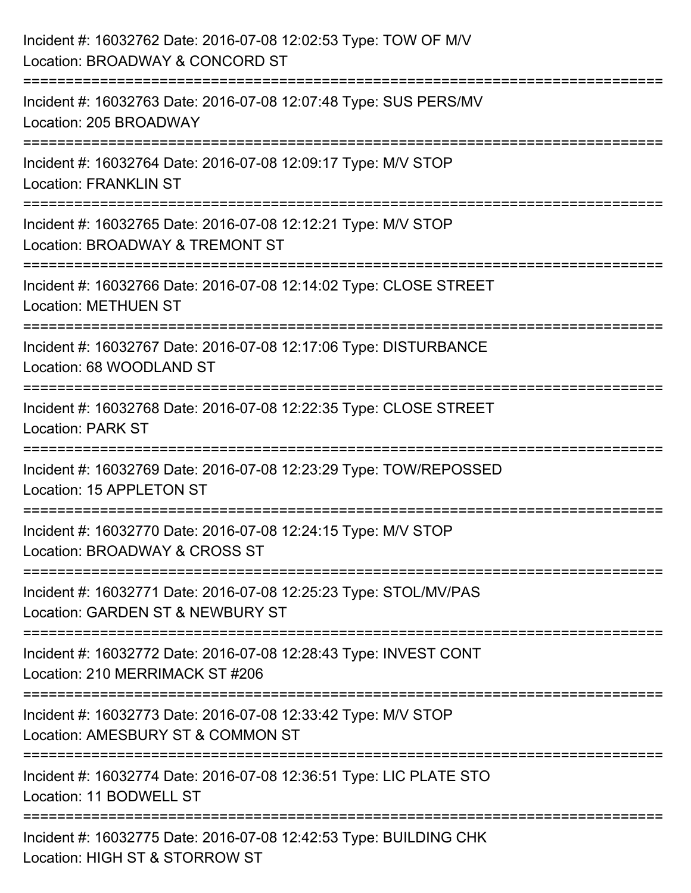| Incident #: 16032762 Date: 2016-07-08 12:02:53 Type: TOW OF M/V<br>Location: BROADWAY & CONCORD ST                             |
|--------------------------------------------------------------------------------------------------------------------------------|
| ====================<br>Incident #: 16032763 Date: 2016-07-08 12:07:48 Type: SUS PERS/MV<br>Location: 205 BROADWAY             |
| Incident #: 16032764 Date: 2016-07-08 12:09:17 Type: M/V STOP<br><b>Location: FRANKLIN ST</b><br>============================= |
| Incident #: 16032765 Date: 2016-07-08 12:12:21 Type: M/V STOP<br>Location: BROADWAY & TREMONT ST                               |
| Incident #: 16032766 Date: 2016-07-08 12:14:02 Type: CLOSE STREET<br><b>Location: METHUEN ST</b>                               |
| Incident #: 16032767 Date: 2016-07-08 12:17:06 Type: DISTURBANCE<br>Location: 68 WOODLAND ST                                   |
| Incident #: 16032768 Date: 2016-07-08 12:22:35 Type: CLOSE STREET<br><b>Location: PARK ST</b>                                  |
| Incident #: 16032769 Date: 2016-07-08 12:23:29 Type: TOW/REPOSSED<br>Location: 15 APPLETON ST                                  |
| Incident #: 16032770 Date: 2016-07-08 12:24:15 Type: M/V STOP<br>Location: BROADWAY & CROSS ST                                 |
| Incident #: 16032771 Date: 2016-07-08 12:25:23 Type: STOL/MV/PAS<br>Location: GARDEN ST & NEWBURY ST                           |
| Incident #: 16032772 Date: 2016-07-08 12:28:43 Type: INVEST CONT<br>Location: 210 MERRIMACK ST #206                            |
| Incident #: 16032773 Date: 2016-07-08 12:33:42 Type: M/V STOP<br>Location: AMESBURY ST & COMMON ST                             |
| Incident #: 16032774 Date: 2016-07-08 12:36:51 Type: LIC PLATE STO<br>Location: 11 BODWELL ST                                  |
| Incident #: 16032775 Date: 2016-07-08 12:42:53 Type: BUILDING CHK<br>Location: HIGH ST & STORROW ST                            |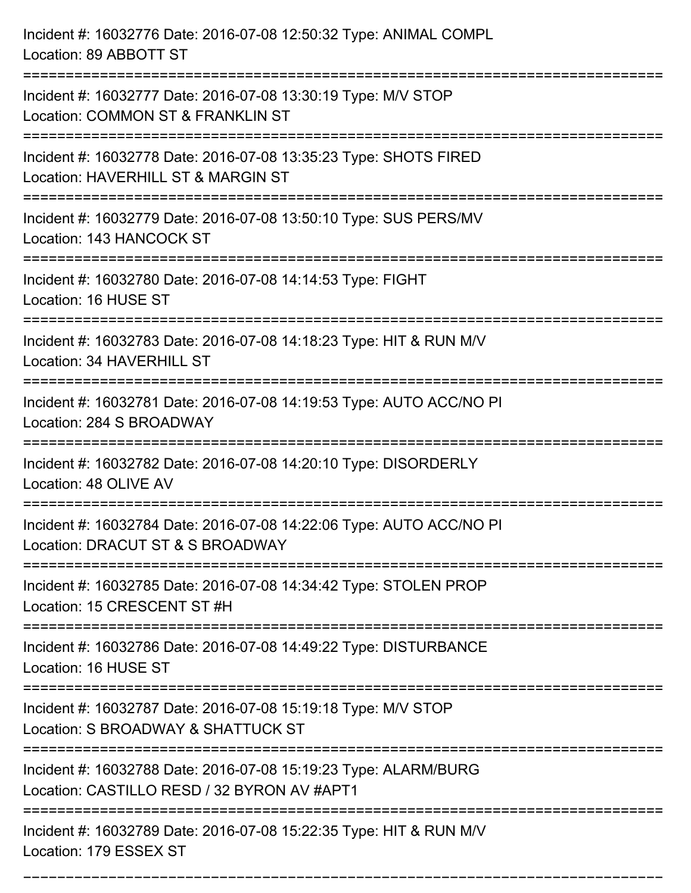| Incident #: 16032776 Date: 2016-07-08 12:50:32 Type: ANIMAL COMPL<br>Location: 89 ABBOTT ST                                       |
|-----------------------------------------------------------------------------------------------------------------------------------|
| Incident #: 16032777 Date: 2016-07-08 13:30:19 Type: M/V STOP<br>Location: COMMON ST & FRANKLIN ST                                |
| Incident #: 16032778 Date: 2016-07-08 13:35:23 Type: SHOTS FIRED<br>Location: HAVERHILL ST & MARGIN ST<br>======================= |
| Incident #: 16032779 Date: 2016-07-08 13:50:10 Type: SUS PERS/MV<br>Location: 143 HANCOCK ST                                      |
| Incident #: 16032780 Date: 2016-07-08 14:14:53 Type: FIGHT<br>Location: 16 HUSE ST                                                |
| Incident #: 16032783 Date: 2016-07-08 14:18:23 Type: HIT & RUN M/V<br>Location: 34 HAVERHILL ST                                   |
| Incident #: 16032781 Date: 2016-07-08 14:19:53 Type: AUTO ACC/NO PI<br>Location: 284 S BROADWAY                                   |
| Incident #: 16032782 Date: 2016-07-08 14:20:10 Type: DISORDERLY<br>Location: 48 OLIVE AV                                          |
| Incident #: 16032784 Date: 2016-07-08 14:22:06 Type: AUTO ACC/NO PI<br>Location: DRACUT ST & S BROADWAY                           |
| Incident #: 16032785 Date: 2016-07-08 14:34:42 Type: STOLEN PROP<br>Location: 15 CRESCENT ST #H                                   |
| Incident #: 16032786 Date: 2016-07-08 14:49:22 Type: DISTURBANCE<br>Location: 16 HUSE ST                                          |
| =======================<br>Incident #: 16032787 Date: 2016-07-08 15:19:18 Type: M/V STOP<br>Location: S BROADWAY & SHATTUCK ST    |
| Incident #: 16032788 Date: 2016-07-08 15:19:23 Type: ALARM/BURG<br>Location: CASTILLO RESD / 32 BYRON AV #APT1                    |
| Incident #: 16032789 Date: 2016-07-08 15:22:35 Type: HIT & RUN M/V<br>Location: 179 ESSEX ST                                      |

===========================================================================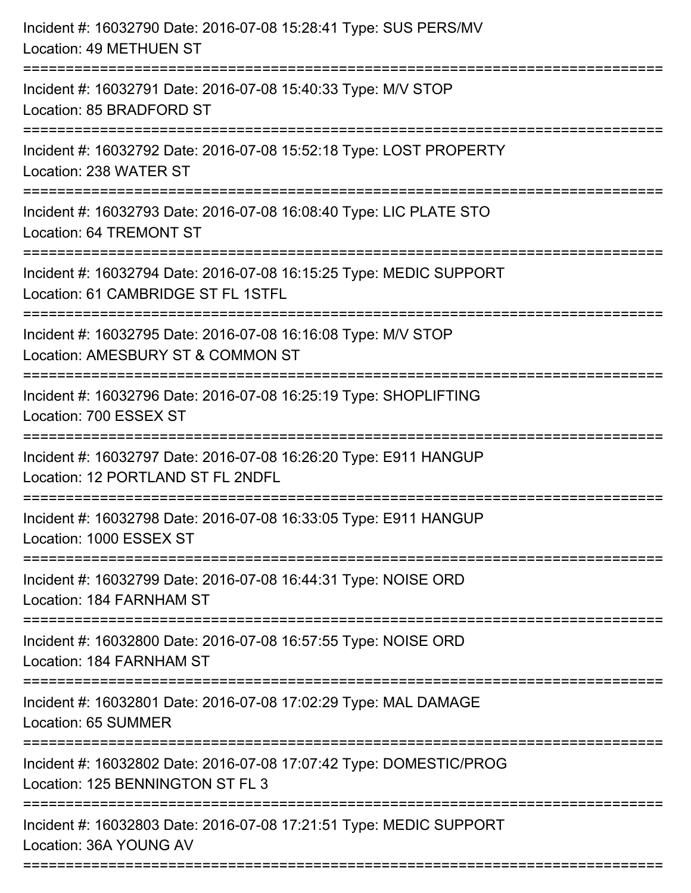| Incident #: 16032790 Date: 2016-07-08 15:28:41 Type: SUS PERS/MV<br><b>Location: 49 METHUEN ST</b>                                |
|-----------------------------------------------------------------------------------------------------------------------------------|
| Incident #: 16032791 Date: 2016-07-08 15:40:33 Type: M/V STOP<br>Location: 85 BRADFORD ST                                         |
| Incident #: 16032792 Date: 2016-07-08 15:52:18 Type: LOST PROPERTY<br>Location: 238 WATER ST<br>================================= |
| Incident #: 16032793 Date: 2016-07-08 16:08:40 Type: LIC PLATE STO<br>Location: 64 TREMONT ST                                     |
| Incident #: 16032794 Date: 2016-07-08 16:15:25 Type: MEDIC SUPPORT<br>Location: 61 CAMBRIDGE ST FL 1STFL<br>===================   |
| Incident #: 16032795 Date: 2016-07-08 16:16:08 Type: M/V STOP<br>Location: AMESBURY ST & COMMON ST                                |
| Incident #: 16032796 Date: 2016-07-08 16:25:19 Type: SHOPLIFTING<br>Location: 700 ESSEX ST                                        |
| Incident #: 16032797 Date: 2016-07-08 16:26:20 Type: E911 HANGUP<br>Location: 12 PORTLAND ST FL 2NDFL                             |
| Incident #: 16032798 Date: 2016-07-08 16:33:05 Type: E911 HANGUP<br>Location: 1000 ESSEX ST                                       |
| Incident #: 16032799 Date: 2016-07-08 16:44:31 Type: NOISE ORD<br>Location: 184 FARNHAM ST                                        |
| Incident #: 16032800 Date: 2016-07-08 16:57:55 Type: NOISE ORD<br>Location: 184 FARNHAM ST                                        |
| Incident #: 16032801 Date: 2016-07-08 17:02:29 Type: MAL DAMAGE<br>Location: 65 SUMMER                                            |
| Incident #: 16032802 Date: 2016-07-08 17:07:42 Type: DOMESTIC/PROG<br>Location: 125 BENNINGTON ST FL 3                            |
| Incident #: 16032803 Date: 2016-07-08 17:21:51 Type: MEDIC SUPPORT<br>Location: 36A YOUNG AV                                      |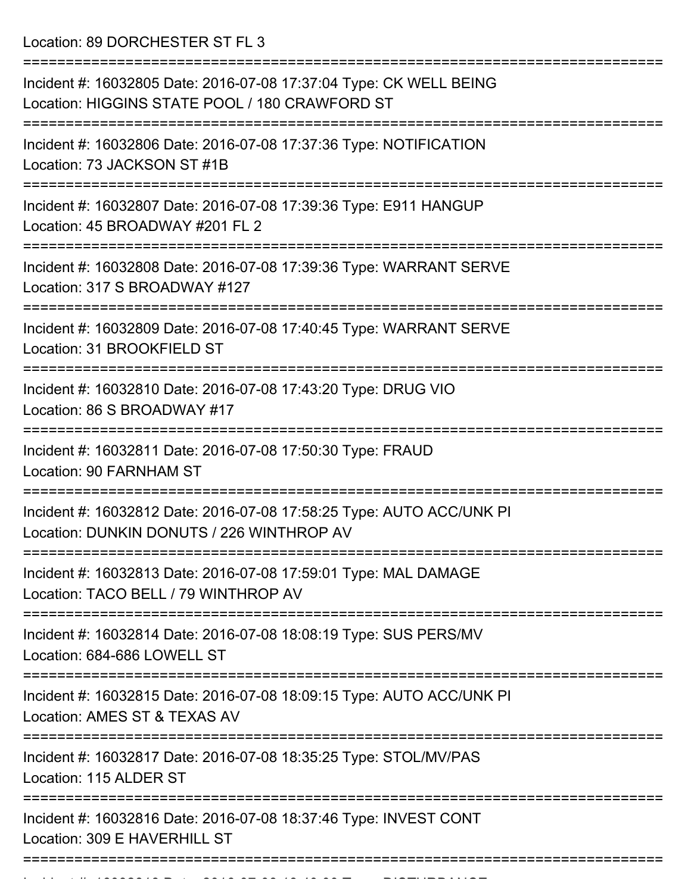Location: 89 DORCHESTER ST FL 3

| Incident #: 16032805 Date: 2016-07-08 17:37:04 Type: CK WELL BEING<br>Location: HIGGINS STATE POOL / 180 CRAWFORD ST |
|----------------------------------------------------------------------------------------------------------------------|
| Incident #: 16032806 Date: 2016-07-08 17:37:36 Type: NOTIFICATION<br>Location: 73 JACKSON ST #1B                     |
| Incident #: 16032807 Date: 2016-07-08 17:39:36 Type: E911 HANGUP<br>Location: 45 BROADWAY #201 FL 2                  |
| Incident #: 16032808 Date: 2016-07-08 17:39:36 Type: WARRANT SERVE<br>Location: 317 S BROADWAY #127                  |
| Incident #: 16032809 Date: 2016-07-08 17:40:45 Type: WARRANT SERVE<br>Location: 31 BROOKFIELD ST                     |
| Incident #: 16032810 Date: 2016-07-08 17:43:20 Type: DRUG VIO<br>Location: 86 S BROADWAY #17                         |
| Incident #: 16032811 Date: 2016-07-08 17:50:30 Type: FRAUD<br>Location: 90 FARNHAM ST                                |
| Incident #: 16032812 Date: 2016-07-08 17:58:25 Type: AUTO ACC/UNK PI<br>Location: DUNKIN DONUTS / 226 WINTHROP AV    |
| Incident #: 16032813 Date: 2016-07-08 17:59:01 Type: MAL DAMAGE<br>Location: TACO BELL / 79 WINTHROP AV              |
| Incident #: 16032814 Date: 2016-07-08 18:08:19 Type: SUS PERS/MV<br>Location: 684-686 LOWELL ST                      |
| Incident #: 16032815 Date: 2016-07-08 18:09:15 Type: AUTO ACC/UNK PI<br>Location: AMES ST & TEXAS AV                 |
| Incident #: 16032817 Date: 2016-07-08 18:35:25 Type: STOL/MV/PAS<br>Location: 115 ALDER ST                           |
| Incident #: 16032816 Date: 2016-07-08 18:37:46 Type: INVEST CONT<br>Location: 309 E HAVERHILL ST                     |
|                                                                                                                      |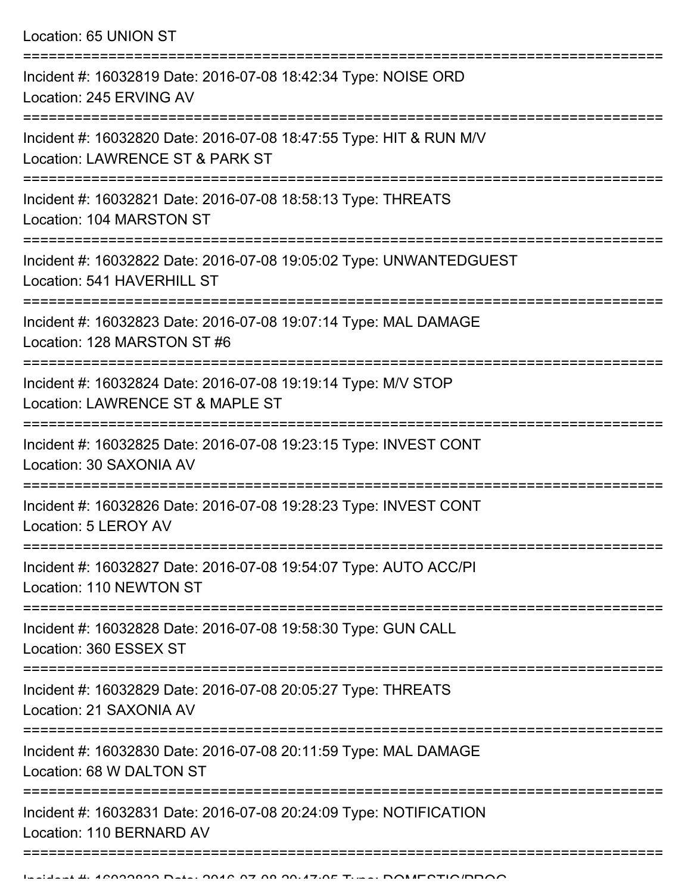| Location: 65 UNION ST |  |  |  |
|-----------------------|--|--|--|
|-----------------------|--|--|--|

| Incident #: 16032819 Date: 2016-07-08 18:42:34 Type: NOISE ORD<br>Location: 245 ERVING AV             |
|-------------------------------------------------------------------------------------------------------|
| Incident #: 16032820 Date: 2016-07-08 18:47:55 Type: HIT & RUN M/V<br>Location: LAWRENCE ST & PARK ST |
| Incident #: 16032821 Date: 2016-07-08 18:58:13 Type: THREATS<br>Location: 104 MARSTON ST              |
| Incident #: 16032822 Date: 2016-07-08 19:05:02 Type: UNWANTEDGUEST<br>Location: 541 HAVERHILL ST      |
| Incident #: 16032823 Date: 2016-07-08 19:07:14 Type: MAL DAMAGE<br>Location: 128 MARSTON ST #6        |
| Incident #: 16032824 Date: 2016-07-08 19:19:14 Type: M/V STOP<br>Location: LAWRENCE ST & MAPLE ST     |
| Incident #: 16032825 Date: 2016-07-08 19:23:15 Type: INVEST CONT<br>Location: 30 SAXONIA AV           |
| Incident #: 16032826 Date: 2016-07-08 19:28:23 Type: INVEST CONT<br>Location: 5 LEROY AV              |
| Incident #: 16032827 Date: 2016-07-08 19:54:07 Type: AUTO ACC/PI<br>Location: 110 NEWTON ST           |
| Incident #: 16032828 Date: 2016-07-08 19:58:30 Type: GUN CALL<br>Location: 360 ESSEX ST               |
| Incident #: 16032829 Date: 2016-07-08 20:05:27 Type: THREATS<br>Location: 21 SAXONIA AV               |
| Incident #: 16032830 Date: 2016-07-08 20:11:59 Type: MAL DAMAGE<br>Location: 68 W DALTON ST           |
| Incident #: 16032831 Date: 2016-07-08 20:24:09 Type: NOTIFICATION<br>Location: 110 BERNARD AV         |
|                                                                                                       |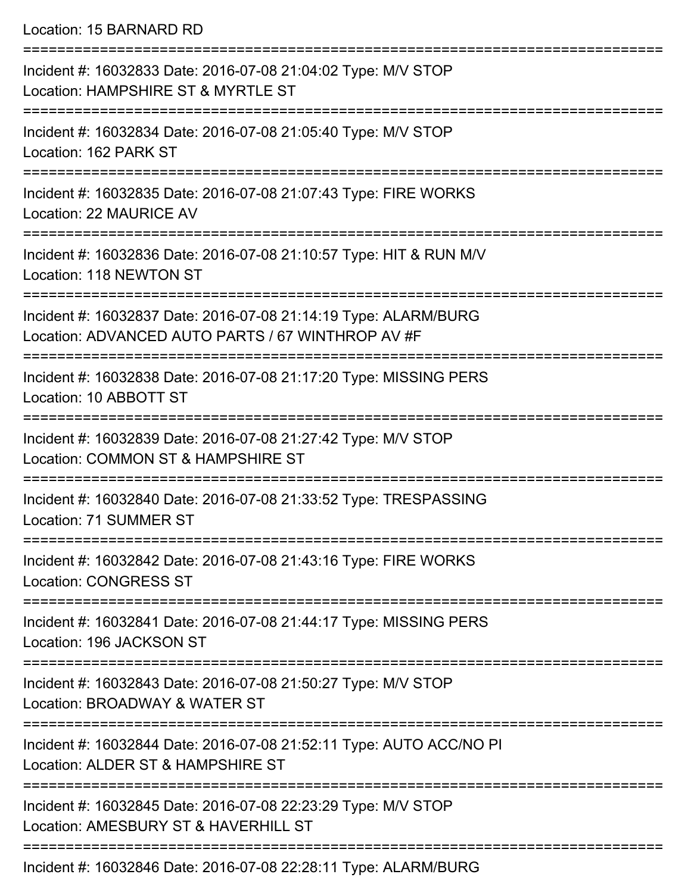Location: 15 BARNARD RD

| Incident #: 16032833 Date: 2016-07-08 21:04:02 Type: M/V STOP<br>Location: HAMPSHIRE ST & MYRTLE ST                  |
|----------------------------------------------------------------------------------------------------------------------|
| Incident #: 16032834 Date: 2016-07-08 21:05:40 Type: M/V STOP<br>Location: 162 PARK ST                               |
| Incident #: 16032835 Date: 2016-07-08 21:07:43 Type: FIRE WORKS<br>Location: 22 MAURICE AV                           |
| Incident #: 16032836 Date: 2016-07-08 21:10:57 Type: HIT & RUN M/V<br>Location: 118 NEWTON ST                        |
| Incident #: 16032837 Date: 2016-07-08 21:14:19 Type: ALARM/BURG<br>Location: ADVANCED AUTO PARTS / 67 WINTHROP AV #F |
| Incident #: 16032838 Date: 2016-07-08 21:17:20 Type: MISSING PERS<br>Location: 10 ABBOTT ST                          |
| Incident #: 16032839 Date: 2016-07-08 21:27:42 Type: M/V STOP<br>Location: COMMON ST & HAMPSHIRE ST                  |
| Incident #: 16032840 Date: 2016-07-08 21:33:52 Type: TRESPASSING<br>Location: 71 SUMMER ST                           |
| Incident #: 16032842 Date: 2016-07-08 21:43:16 Type: FIRE WORKS<br><b>Location: CONGRESS ST</b>                      |
| Incident #: 16032841 Date: 2016-07-08 21:44:17 Type: MISSING PERS<br>Location: 196 JACKSON ST                        |
| Incident #: 16032843 Date: 2016-07-08 21:50:27 Type: M/V STOP<br>Location: BROADWAY & WATER ST                       |
| Incident #: 16032844 Date: 2016-07-08 21:52:11 Type: AUTO ACC/NO PI<br>Location: ALDER ST & HAMPSHIRE ST             |
| Incident #: 16032845 Date: 2016-07-08 22:23:29 Type: M/V STOP<br>Location: AMESBURY ST & HAVERHILL ST                |
| Incident #: 16032846 Date: 2016-07-08 22:28:11 Type: ALARM/BURG                                                      |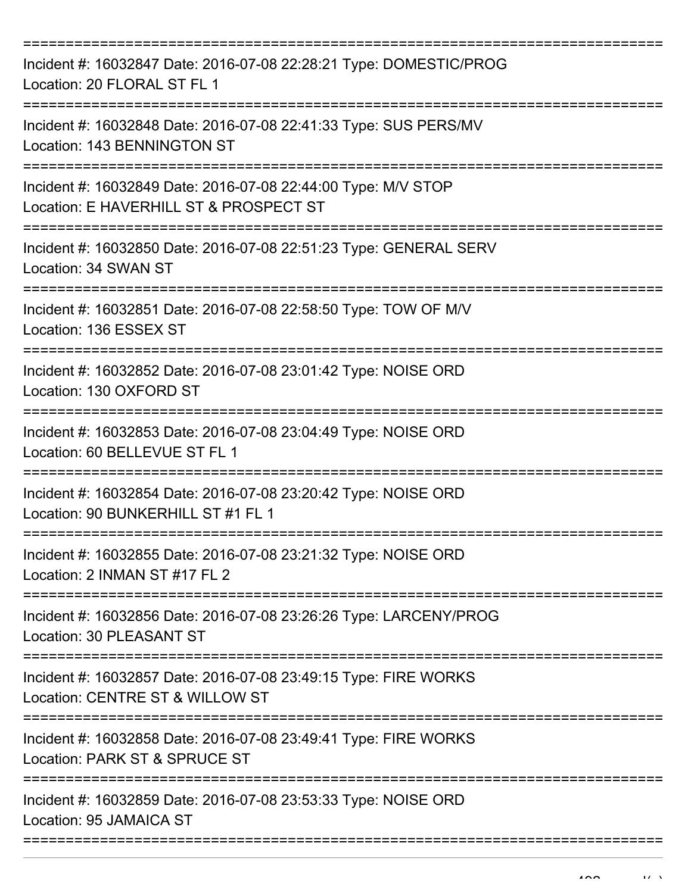| Incident #: 16032847 Date: 2016-07-08 22:28:21 Type: DOMESTIC/PROG<br>Location: 20 FLORAL ST FL 1                         |
|---------------------------------------------------------------------------------------------------------------------------|
| Incident #: 16032848 Date: 2016-07-08 22:41:33 Type: SUS PERS/MV<br>Location: 143 BENNINGTON ST                           |
| Incident #: 16032849 Date: 2016-07-08 22:44:00 Type: M/V STOP<br>Location: E HAVERHILL ST & PROSPECT ST<br>============== |
| Incident #: 16032850 Date: 2016-07-08 22:51:23 Type: GENERAL SERV<br>Location: 34 SWAN ST<br>===================          |
| Incident #: 16032851 Date: 2016-07-08 22:58:50 Type: TOW OF M/V<br>Location: 136 ESSEX ST                                 |
| Incident #: 16032852 Date: 2016-07-08 23:01:42 Type: NOISE ORD<br>Location: 130 OXFORD ST                                 |
| Incident #: 16032853 Date: 2016-07-08 23:04:49 Type: NOISE ORD<br>Location: 60 BELLEVUE ST FL 1                           |
| Incident #: 16032854 Date: 2016-07-08 23:20:42 Type: NOISE ORD<br>Location: 90 BUNKERHILL ST #1 FL 1                      |
| Incident #: 16032855 Date: 2016-07-08 23:21:32 Type: NOISE ORD<br>Location: 2 INMAN ST #17 FL 2                           |
| Incident #: 16032856 Date: 2016-07-08 23:26:26 Type: LARCENY/PROG<br>Location: 30 PLEASANT ST                             |
| Incident #: 16032857 Date: 2016-07-08 23:49:15 Type: FIRE WORKS<br>Location: CENTRE ST & WILLOW ST                        |
| Incident #: 16032858 Date: 2016-07-08 23:49:41 Type: FIRE WORKS<br>Location: PARK ST & SPRUCE ST                          |
| Incident #: 16032859 Date: 2016-07-08 23:53:33 Type: NOISE ORD<br>Location: 95 JAMAICA ST                                 |
|                                                                                                                           |